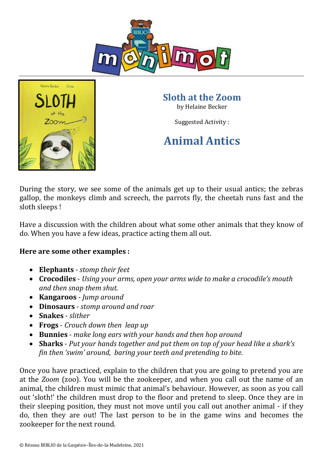



**Sloth at the Zoom** by Helaine Becker

Suggested Activity :

## **Animal Antics**

During the story, we see some of the animals get up to their usual antics; the zebras gallop, the monkeys climb and screech, the parrots fly, the cheetah runs fast and the sloth sleeps !

Have a discussion with the children about what some other animals that they know of do. When you have a few ideas, practice acting them all out.

## **Here are some other examples :**

- **Elephants** *stomp their feet*
- **Crocodiles** *Using your arms, open your arms wide to make a crocodile's mouth and then snap them shut.*
- **Kangaroos** *Jump around*
- **Dinosaurs**  *stomp around and roar*
- **Snakes** *slither*
- **Frogs** *Crouch down then leap up*
- **Bunnies** *make long ears with your hands and then hop around*
- **Sharks** *Put your hands together and put them on top of your head like a shark's fin then 'swim' around, baring your teeth and pretending to bite.*

Once you have practiced, explain to the children that you are going to pretend you are at the *Zoom* (zoo). You will be the zookeeper, and when you call out the name of an animal, the children must mimic that animal's behaviour. However, as soon as you call out 'sloth!' the children must drop to the floor and pretend to sleep. Once they are in their sleeping position, they must not move until you call out another animal - if they do, then they are out! The last person to be in the game wins and becomes the zookeeper for the next round.